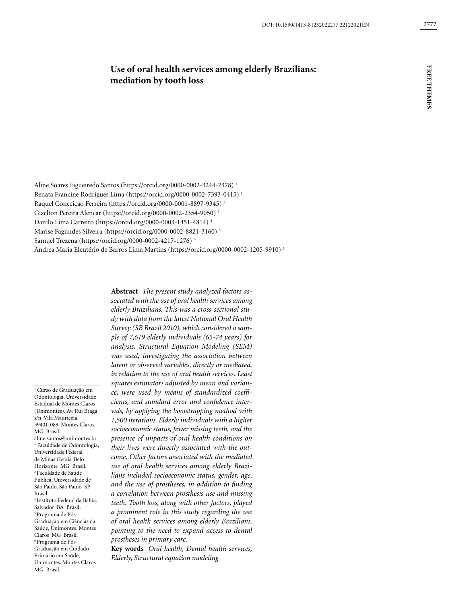# **Use of oral health services among elderly Brazilians: mediation by tooth loss**

Aline Soares Figueiredo Santos (https://orcid.org/0000-0002-3244-2378) 1 Renata Francine Rodrigues Lima (https://orcid.org/0000-0002-7393-0415) 1 Raquel Conceição Ferreira (https://orcid.org/0000-0001-8897-9345) 2 Gizelton Pereira Alencar (https://orcid.org/0000-0002-2354-9050) 3 Danilo Lima Carreiro (https://orcid.org/0000-0003-1451-4814) 4 Marise Fagundes Silveira (https://orcid.org/0000-0002-8821-3160) 5 Samuel Trezena (https://orcid.org/0000-0002-4217-1276) 6 Andrea Maria Eleutério de Barros Lima Martins (https://orcid.org/0000-0002-1205-9910) 5

1 Curso de Graduação em Odontologia, Universidade Estadual de Montes Claros (Unimontes). Av. Rui Braga s/n, Vila Mauricéia. 39401-089 Montes Claros MG Brasil. aline.santos@unimontes.br 2 Faculdade de Odontologia, Universidade Federal de Minas Gerais. Belo Horizonte MG Brasil. 3 Faculdade de Saúde Pública, Universidade de São Paulo. São Paulo SP Brasil. 4 Instituto Federal da Bahia. Salvador BA Brasil. 5 Programa de Pós-Graduação em Ciências da Saúde, Unimontes. Montes Claros MG Brasil. 6 Programa de Pós-Graduação em Cuidado Primário em Saúde, Unimontes. Montes Claros

MG Brasil.

**Abstract** *The present study analyzed factors associated with the use of oral health services among elderly Brazilians. This was a cross-sectional study with data from the latest National Oral Health Survey (SB Brazil 2010), which considered a sample of 7,619 elderly individuals (65-74 years) for analysis. Structural Equation Modeling (SEM) was used, investigating the association between latent or observed variables, directly or mediated, in relation to the use of oral health services. Least squares estimators adjusted by mean and variance, were used by means of standardized coefficients, and standard error and confidence intervals, by applying the bootstrapping method with 1,500 iterations. Elderly individuals with a higher socioeconomic status, fewer missing teeth, and the presence of impacts of oral health conditions on their lives were directly associated with the outcome. Other factors associated with the mediated use of oral health services among elderly Brazilians included socioeconomic status, gender, age, and the use of prostheses, in addition to finding a correlation between prosthesis use and missing teeth. Tooth loss, along with other factors, played a prominent role in this study regarding the use of oral health services among elderly Brazilians, pointing to the need to expand access to dental prostheses in primary care.*

**Key words** *Oral health, Dental health services, Elderly, Structural equation modeling*

**free themes**

**FREE THEMES**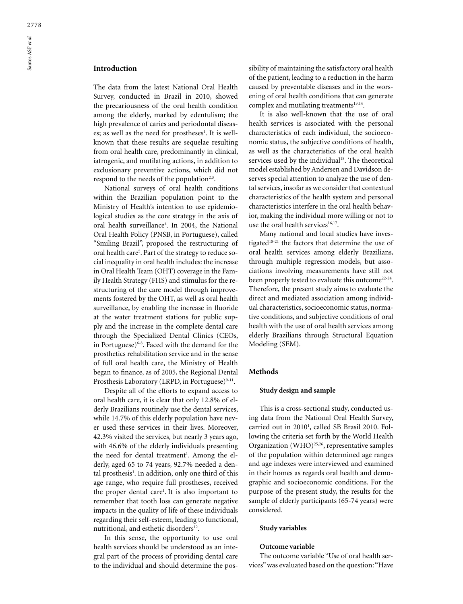# **Introduction**

The data from the latest National Oral Health Survey, conducted in Brazil in 2010, showed the precariousness of the oral health condition among the elderly, marked by edentulism; the high prevalence of caries and periodontal diseases; as well as the need for prostheses<sup>1</sup>. It is wellknown that these results are sequelae resulting from oral health care, predominantly in clinical, iatrogenic, and mutilating actions, in addition to exclusionary preventive actions, which did not respond to the needs of the population<sup> $2,3$ </sup>.

National surveys of oral health conditions within the Brazilian population point to the Ministry of Health's intention to use epidemiological studies as the core strategy in the axis of oral health surveillance4 . In 2004, the National Oral Health Policy (PNSB, in Portuguese), called "Smiling Brazil", proposed the restructuring of oral health care<sup>5</sup>. Part of the strategy to reduce social inequality in oral health includes: the increase in Oral Health Team (OHT) coverage in the Family Health Strategy (FHS) and stimulus for the restructuring of the care model through improvements fostered by the OHT, as well as oral health surveillance, by enabling the increase in fluoride at the water treatment stations for public supply and the increase in the complete dental care through the Specialized Dental Clinics (CEOs, in Portuguese)<sup>6-8</sup>. Faced with the demand for the prosthetics rehabilitation service and in the sense of full oral health care, the Ministry of Health began to finance, as of 2005, the Regional Dental Prosthesis Laboratory (LRPD, in Portuguese)<sup>9-11</sup>.

Despite all of the efforts to expand access to oral health care, it is clear that only 12.8% of elderly Brazilians routinely use the dental services, while 14.7% of this elderly population have never used these services in their lives. Moreover, 42.3% visited the services, but nearly 3 years ago, with 46.6% of the elderly individuals presenting the need for dental treatment<sup>1</sup>. Among the elderly, aged 65 to 74 years, 92.7% needed a dental prosthesis<sup>1</sup>. In addition, only one third of this age range, who require full prostheses, received the proper dental care<sup>1</sup>. It is also important to remember that tooth loss can generate negative impacts in the quality of life of these individuals regarding their self-esteem, leading to functional, nutritional, and esthetic disorders<sup>12</sup>.

In this sense, the opportunity to use oral health services should be understood as an integral part of the process of providing dental care to the individual and should determine the possibility of maintaining the satisfactory oral health of the patient, leading to a reduction in the harm caused by preventable diseases and in the worsening of oral health conditions that can generate complex and mutilating treatments<sup>13,14</sup>.

It is also well-known that the use of oral health services is associated with the personal characteristics of each individual, the socioeconomic status, the subjective conditions of health, as well as the characteristics of the oral health services used by the individual<sup>15</sup>. The theoretical model established by Andersen and Davidson deserves special attention to analyze the use of dental services, insofar as we consider that contextual characteristics of the health system and personal characteristics interfere in the oral health behavior, making the individual more willing or not to use the oral health services<sup>16,17</sup>.

Many national and local studies have investigated<sup>18-21</sup> the factors that determine the use of oral health services among elderly Brazilians, through multiple regression models, but associations involving measurements have still not been properly tested to evaluate this outcome<sup>22-24</sup>. Therefore, the present study aims to evaluate the direct and mediated association among individual characteristics, socioeconomic status, normative conditions, and subjective conditions of oral health with the use of oral health services among elderly Brazilians through Structural Equation Modeling (SEM).

### **Methods**

### **Study design and sample**

This is a cross-sectional study, conducted using data from the National Oral Health Survey, carried out in 2010<sup>1</sup>, called SB Brasil 2010. Following the criteria set forth by the World Health Organization (WHO)<sup>25,26</sup>, representative samples of the population within determined age ranges and age indexes were interviewed and examined in their homes as regards oral health and demographic and socioeconomic conditions. For the purpose of the present study, the results for the sample of elderly participants (65-74 years) were considered.

### **Study variables**

#### **Outcome variable**

The outcome variable "Use of oral health services" was evaluated based on the question: "Have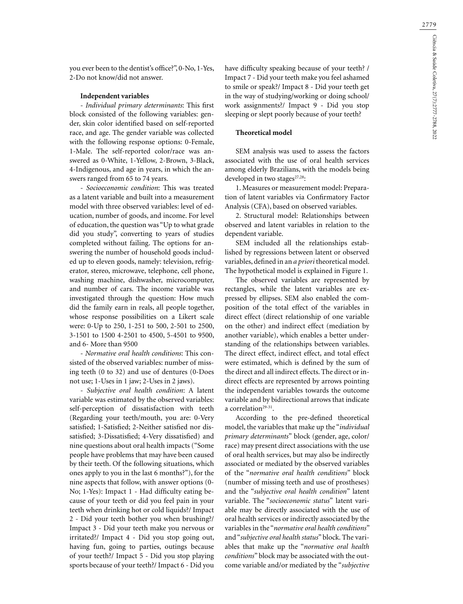you ever been to the dentist's office?", 0-No, 1-Yes, 2-Do not know/did not answer.

### **Independent variables**

- *Individual primary determinants*: This first block consisted of the following variables: gender, skin color identified based on self-reported race, and age. The gender variable was collected with the following response options: 0-Female, 1-Male. The self-reported color/race was answered as 0-White, 1-Yellow, 2-Brown, 3-Black, 4-Indigenous, and age in years, in which the answers ranged from 65 to 74 years.

- *Socioeconomic condition*: This was treated as a latent variable and built into a measurement model with three observed variables: level of education, number of goods, and income. For level of education, the question was "Up to what grade did you study", converting to years of studies completed without failing. The options for answering the number of household goods included up to eleven goods, namely: television, refrigerator, stereo, microwave, telephone, cell phone, washing machine, dishwasher, microcomputer, and number of cars. The income variable was investigated through the question: How much did the family earn in reals, all people together, whose response possibilities on a Likert scale were: 0-Up to 250, 1-251 to 500, 2-501 to 2500, 3-1501 to 1500 4-2501 to 4500, 5-4501 to 9500, and 6- More than 9500

- *Normative oral health conditions*: This consisted of the observed variables: number of missing teeth (0 to 32) and use of dentures (0-Does not use; 1-Uses in 1 jaw; 2-Uses in 2 jaws).

- *Subjective oral health condition*: A latent variable was estimated by the observed variables: self-perception of dissatisfaction with teeth (Regarding your teeth/mouth, you are: 0-Very satisfied; 1-Satisfied; 2-Neither satisfied nor dissatisfied; 3-Dissatisfied; 4-Very dissatisfied) and nine questions about oral health impacts ("Some people have problems that may have been caused by their teeth. Of the following situations, which ones apply to you in the last 6 months?"), for the nine aspects that follow, with answer options (0- No; 1-Yes): Impact 1 - Had difficulty eating because of your teeth or did you feel pain in your teeth when drinking hot or cold liquids?/ Impact 2 - Did your teeth bother you when brushing?/ Impact 3 - Did your teeth make you nervous or irritated?/ Impact 4 - Did you stop going out, having fun, going to parties, outings because of your teeth?/ Impact 5 - Did you stop playing sports because of your teeth?/ Impact 6 - Did you

have difficulty speaking because of your teeth? / Impact 7 - Did your teeth make you feel ashamed to smile or speak?/ Impact 8 - Did your teeth get in the way of studying/working or doing school/ work assignments?/ Impact 9 - Did you stop sleeping or slept poorly because of your teeth?

### **Theoretical model**

SEM analysis was used to assess the factors associated with the use of oral health services among elderly Brazilians, with the models being developed in two stages<sup>27,28</sup>:

1. Measures or measurement model: Preparation of latent variables via Confirmatory Factor Analysis (CFA), based on observed variables.

2. Structural model: Relationships between observed and latent variables in relation to the dependent variable.

SEM included all the relationships established by regressions between latent or observed variables, defined in an *a priori* theoretical model. The hypothetical model is explained in Figure 1.

The observed variables are represented by rectangles, while the latent variables are expressed by ellipses. SEM also enabled the composition of the total effect of the variables in direct effect (direct relationship of one variable on the other) and indirect effect (mediation by another variable), which enables a better understanding of the relationships between variables. The direct effect, indirect effect, and total effect were estimated, which is defined by the sum of the direct and all indirect effects. The direct or indirect effects are represented by arrows pointing the independent variables towards the outcome variable and by bidirectional arrows that indicate a correlation<sup>29-31</sup>.

According to the pre-defined theoretical model, the variables that make up the "*individual primary determinants*" block (gender, age, color/ race) may present direct associations with the use of oral health services, but may also be indirectly associated or mediated by the observed variables of the "*normative oral health conditions*" block (number of missing teeth and use of prostheses) and the "*subjective oral health condition*" latent variable. The "*socioeconomic status*" latent variable may be directly associated with the use of oral health services or indirectly associated by the variables in the "*normative oral health conditions*" and "*subjective oral health status*" block. The variables that make up the "*normative oral health conditions*" block may be associated with the outcome variable and/or mediated by the "*subjective*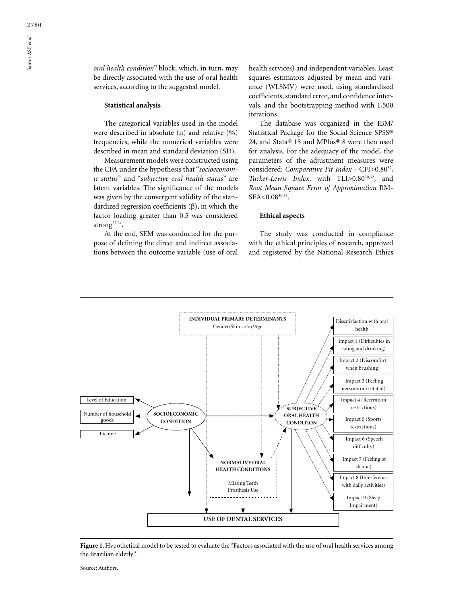Santos ASF *et al.*

Santos ASF et al.

### **Statistical analysis**

The categorical variables used in the model were described in absolute (n) and relative (%) frequencies, while the numerical variables were described in mean and standard deviation (SD).

Measurement models were constructed using the CFA under the hypothesis that "*socioeconomic status*" and "*subjective oral health status*" are latent variables. The significance of the models was given by the convergent validity of the standardized regression coefficients (β), in which the factor loading greater than 0.5 was considered strong<sup>22,24</sup>.

At the end, SEM was conducted for the purpose of defining the direct and indirect associations between the outcome variable (use of oral health services) and independent variables. Least squares estimators adjusted by mean and variance (WLSMV) were used, using standardized coefficients, standard error, and confidence intervals, and the bootstrapping method with 1,500 iterations.

The database was organized in the IBM/ Statistical Package for the Social Science SPSS® 24, and Stata® 15 and MPlus® 8 were then used for analysis. For the adequacy of the model, the parameters of the adjustment measures were considered: *Comparative Fit Index* - CFI>0.8032, Tucker-Lewis Index, with TLI>0.80<sup>30,32</sup>, and *Root Mean Square Error of Approximation* RM-SEA<0.0830,33.

### **Ethical aspects**

The study was conducted in compliance with the ethical principles of research, approved and registered by the National Research Ethics



Figure 1. Hypothetical model to be tested to evaluate the "Factors associated with the use of oral health services among the Brazilian elderly".

Source: Authors.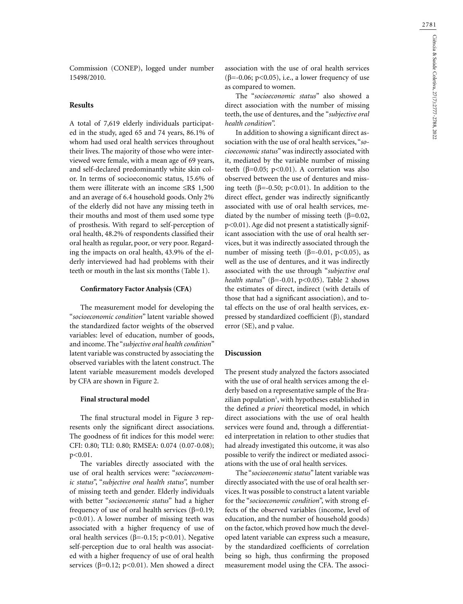Commission (CONEP), logged under number 15498/2010.

# **Results**

A total of 7,619 elderly individuals participated in the study, aged 65 and 74 years, 86.1% of whom had used oral health services throughout their lives. The majority of those who were interviewed were female, with a mean age of 69 years, and self-declared predominantly white skin color. In terms of socioeconomic status, 15.6% of them were illiterate with an income ≤R\$ 1,500 and an average of 6.4 household goods. Only 2% of the elderly did not have any missing teeth in their mouths and most of them used some type of prosthesis. With regard to self-perception of oral health, 48.2% of respondents classified their oral health as regular, poor, or very poor. Regarding the impacts on oral health, 43.9% of the elderly interviewed had had problems with their teeth or mouth in the last six months (Table 1).

### **Confirmatory Factor Analysis (CFA)**

The measurement model for developing the "*socioeconomic condition*" latent variable showed the standardized factor weights of the observed variables: level of education, number of goods, and income. The "*subjective oral health condition*" latent variable was constructed by associating the observed variables with the latent construct. The latent variable measurement models developed by CFA are shown in Figure 2.

### **Final structural model**

The final structural model in Figure 3 represents only the significant direct associations. The goodness of fit indices for this model were: CFI: 0.80; TLI: 0.80; RMSEA: 0.074 (0.07-0.08); p<0.01.

The variables directly associated with the use of oral health services were: "*socioeconomic status*", "*subjective oral health status*", number of missing teeth and gender. Elderly individuals with better "*socioeconomic status*" had a higher frequency of use of oral health services (β=0.19; p<0.01). A lower number of missing teeth was associated with a higher frequency of use of oral health services ( $\beta$ =-0.15; p<0.01). Negative self-perception due to oral health was associated with a higher frequency of use of oral health services ( $\beta$ =0.12; p<0.01). Men showed a direct

association with the use of oral health services ( $\beta$ =-0.06; p<0.05), i.e., a lower frequency of use as compared to women.

The "*socioeconomic status*" also showed a direct association with the number of missing teeth, the use of dentures, and the "*subjective oral health condition*".

In addition to showing a significant direct association with the use of oral health services, "*socioeconomic status*" was indirectly associated with it, mediated by the variable number of missing teeth (β=0.05; p<0.01). A correlation was also observed between the use of dentures and missing teeth ( $β = -0.50$ ;  $p < 0.01$ ). In addition to the direct effect, gender was indirectly significantly associated with use of oral health services, mediated by the number of missing teeth (β=0.02, p<0.01). Age did not present a statistically significant association with the use of oral health services, but it was indirectly associated through the number of missing teeth (β=-0.01, p<0.05), as well as the use of dentures, and it was indirectly associated with the use through "*subjective oral health status*" (β=-0.01, p<0.05). Table 2 shows the estimates of direct, indirect (with details of those that had a significant association), and total effects on the use of oral health services, expressed by standardized coefficient (β), standard error (SE), and p value.

## **Discussion**

The present study analyzed the factors associated with the use of oral health services among the elderly based on a representative sample of the Brazilian population<sup>1</sup>, with hypotheses established in the defined *a priori* theoretical model, in which direct associations with the use of oral health services were found and, through a differentiated interpretation in relation to other studies that had already investigated this outcome, it was also possible to verify the indirect or mediated associations with the use of oral health services.

The "*socioeconomic status*" latent variable was directly associated with the use of oral health services. It was possible to construct a latent variable for the "*socioeconomic condition*", with strong effects of the observed variables (income, level of education, and the number of household goods) on the factor, which proved how much the developed latent variable can express such a measure, by the standardized coefficients of correlation being so high, thus confirming the proposed measurement model using the CFA. The associ-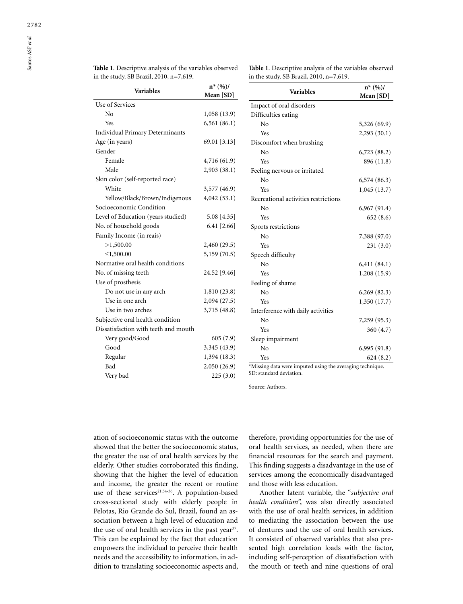| <b>Table 1.</b> Descriptive analysis of the variables observed |  |
|----------------------------------------------------------------|--|
| in the study. SB Brazil, 2010, n=7,619.                        |  |

**Table 1**. Descriptive analysis of the variables observed in the study. SB Brazil, 2010, n=7,619.

|                                      | $n^*(%)/$     |
|--------------------------------------|---------------|
| <b>Variables</b>                     | Mean [SD]     |
| Use of Services                      |               |
| No                                   | 1,058(13.9)   |
| Yes                                  | 6,561(86.1)   |
| Individual Primary Determinants      |               |
| Age (in years)                       | 69.01 [3.13]  |
| Gender                               |               |
| Female                               | 4,716 (61.9)  |
| Male                                 | 2,903 (38.1)  |
| Skin color (self-reported race)      |               |
| White                                | 3,577 (46.9)  |
| Yellow/Black/Brown/Indigenous        | 4,042(53.1)   |
| Socioeconomic Condition              |               |
| Level of Education (years studied)   | 5.08 [4.35]   |
| No. of household goods               | $6.41$ [2.66] |
| Family Income (in reais)             |               |
| >1,500.00                            | 2,460 (29.5)  |
| ≤1,500.00                            | 5,159 (70.5)  |
| Normative oral health conditions     |               |
| No. of missing teeth                 | 24.52 [9.46]  |
| Use of prosthesis                    |               |
| Do not use in any arch               | 1,810(23.8)   |
| Use in one arch                      | 2,094 (27.5)  |
| Use in two arches                    | 3,715 (48.8)  |
| Subjective oral health condition     |               |
| Dissatisfaction with teeth and mouth |               |
| Very good/Good                       | 605(7.9)      |
| Good                                 | 3,345 (43.9)  |
| Regular                              | 1,394 (18.3)  |
| Bad                                  | 2,050 (26.9)  |
| Very bad                             | 225(3.0)      |

| <b>Variables</b>                     | $n^*(%)/$    |  |  |
|--------------------------------------|--------------|--|--|
|                                      | Mean [SD]    |  |  |
| Impact of oral disorders             |              |  |  |
| Difficulties eating                  |              |  |  |
| $\rm N_{0}$                          | 5,326 (69.9) |  |  |
| Yes                                  | 2,293(30.1)  |  |  |
| Discomfort when brushing             |              |  |  |
| No                                   | 6,723(88.2)  |  |  |
| Yes                                  | 896 (11.8)   |  |  |
| Feeling nervous or irritated         |              |  |  |
| N <sub>o</sub>                       | 6,574(86.3)  |  |  |
| Yes                                  | 1,045(13.7)  |  |  |
| Recreational activities restrictions |              |  |  |
| No                                   | 6,967(91.4)  |  |  |
| Yes                                  | 652(8.6)     |  |  |
| Sports restrictions                  |              |  |  |
| No                                   | 7,388 (97.0) |  |  |
| Yes                                  | 231(3.0)     |  |  |
| Speech difficulty                    |              |  |  |
| No                                   | 6,411(84.1)  |  |  |
| Yes                                  | 1,208 (15.9) |  |  |
| Feeling of shame                     |              |  |  |
| No                                   | 6,269(82.3)  |  |  |
| Yes                                  | 1,350 (17.7) |  |  |
| Interference with daily activities   |              |  |  |
| No                                   | 7,259 (95.3) |  |  |
| Yes                                  | 360 (4.7)    |  |  |
| Sleep impairment                     |              |  |  |
| No                                   | 6,995(91.8)  |  |  |
| Yes                                  | 624(8.2)     |  |  |

SD: standard deviation.

Source: Authors.

ation of socioeconomic status with the outcome showed that the better the socioeconomic status, the greater the use of oral health services by the elderly. Other studies corroborated this finding, showing that the higher the level of education and income, the greater the recent or routine use of these services<sup>21,34-36</sup>. A population-based cross-sectional study with elderly people in Pelotas, Rio Grande do Sul, Brazil, found an association between a high level of education and the use of oral health services in the past year<sup>37</sup>. This can be explained by the fact that education empowers the individual to perceive their health needs and the accessibility to information, in addition to translating socioeconomic aspects and,

therefore, providing opportunities for the use of oral health services, as needed, when there are financial resources for the search and payment. This finding suggests a disadvantage in the use of services among the economically disadvantaged and those with less education.

Another latent variable, the "*subjective oral health condition*", was also directly associated with the use of oral health services, in addition to mediating the association between the use of dentures and the use of oral health services. It consisted of observed variables that also presented high correlation loads with the factor, including self-perception of dissatisfaction with the mouth or teeth and nine questions of oral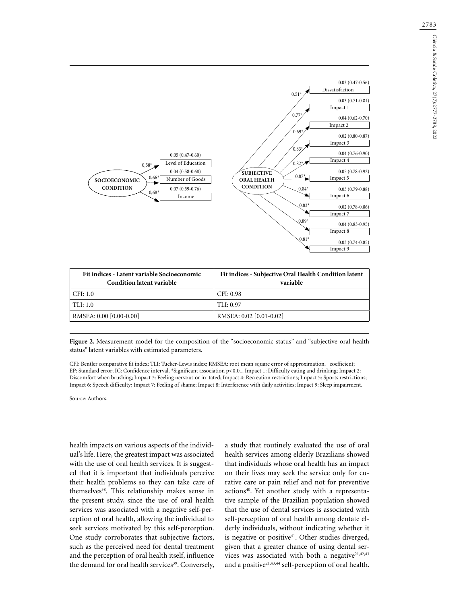

| Fit indices - Latent variable Socioeconomic<br><b>Condition latent variable</b> | Fit indices - Subjective Oral Health Condition latent<br>variable |
|---------------------------------------------------------------------------------|-------------------------------------------------------------------|
| CFI: 1.0                                                                        | CFI: 0.98                                                         |
| TLI: 1.0                                                                        | TLI: 0.97                                                         |
| RMSEA: 0.00 [0.00-0.00]                                                         | RMSEA: 0.02 [0.01-0.02]                                           |

| Figure 2. Measurement model for the composition of the "socioeconomic status" and "subjective oral health |  |  |  |
|-----------------------------------------------------------------------------------------------------------|--|--|--|
| status" latent variables with estimated parameters.                                                       |  |  |  |

CFI: Bentler comparative fit index; TLI: Tucker-Lewis index; RMSEA: root mean square error of approximation. coefficient; EP: Standard error; IC: Confidence interval. \*Significant association p<0.01. Impact 1: Difficulty eating and drinking; Impact 2: Discomfort when brushing; Impact 3: Feeling nervous or irritated; Impact 4: Recreation restrictions; Impact 5: Sports restrictions; Impact 6: Speech difficulty; Impact 7: Feeling of shame; Impact 8: Interference with daily activities; Impact 9: Sleep impairment.

Source: Authors.

health impacts on various aspects of the individual's life. Here, the greatest impact was associated with the use of oral health services. It is suggested that it is important that individuals perceive their health problems so they can take care of themselves<sup>38</sup>. This relationship makes sense in the present study, since the use of oral health services was associated with a negative self-perception of oral health, allowing the individual to seek services motivated by this self-perception. One study corroborates that subjective factors, such as the perceived need for dental treatment and the perception of oral health itself, influence the demand for oral health services<sup>39</sup>. Conversely,

a study that routinely evaluated the use of oral health services among elderly Brazilians showed that individuals whose oral health has an impact on their lives may seek the service only for curative care or pain relief and not for preventive actions<sup>40</sup>. Yet another study with a representative sample of the Brazilian population showed that the use of dental services is associated with self-perception of oral health among dentate elderly individuals, without indicating whether it is negative or positive $41$ . Other studies diverged, given that a greater chance of using dental services was associated with both a negative<sup>21,42,43</sup> and a positive<sup>21,43,44</sup> self-perception of oral health.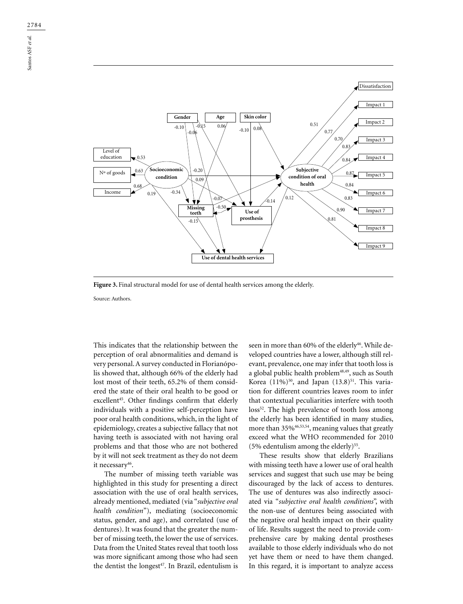

Figure 3. Final structural model for use of dental health services among the elderly.

Source: Authors.

This indicates that the relationship between the perception of oral abnormalities and demand is very personal. A survey conducted in Florianópolis showed that, although 66% of the elderly had lost most of their teeth, 65.2% of them considered the state of their oral health to be good or excellent<sup>45</sup>. Other findings confirm that elderly individuals with a positive self-perception have poor oral health conditions, which, in the light of epidemiology, creates a subjective fallacy that not having teeth is associated with not having oral problems and that those who are not bothered by it will not seek treatment as they do not deem it necessary<sup>46</sup>.

The number of missing teeth variable was highlighted in this study for presenting a direct association with the use of oral health services, already mentioned, mediated (via "*subjective oral health condition*"), mediating (socioeconomic status, gender, and age), and correlated (use of dentures). It was found that the greater the number of missing teeth, the lower the use of services. Data from the United States reveal that tooth loss was more significant among those who had seen the dentist the longest<sup>47</sup>. In Brazil, edentulism is

seen in more than 60% of the elderly<sup>46</sup>. While developed countries have a lower, although still relevant, prevalence, one may infer that tooth loss is a global public health problem<sup>48,49</sup>, such as South Korea  $(11\%)^{50}$ , and Japan  $(13.8)^{51}$ . This variation for different countries leaves room to infer that contextual peculiarities interfere with tooth loss<sup>52</sup>. The high prevalence of tooth loss among the elderly has been identified in many studies, more than 35%<sup>46,53,54</sup>, meaning values that greatly exceed what the WHO recommended for 2010 (5% edentulism among the elderly)<sup>55</sup>.

These results show that elderly Brazilians with missing teeth have a lower use of oral health services and suggest that such use may be being discouraged by the lack of access to dentures. The use of dentures was also indirectly associated via "*subjective oral health conditions*", with the non-use of dentures being associated with the negative oral health impact on their quality of life. Results suggest the need to provide comprehensive care by making dental prostheses available to those elderly individuals who do not yet have them or need to have them changed. In this regard, it is important to analyze access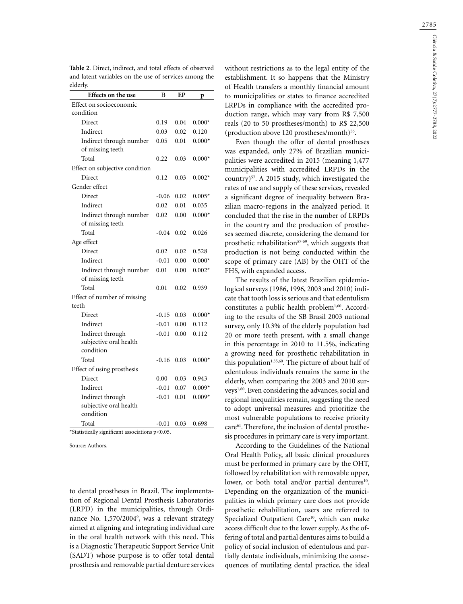| Effects on the use                                      | B       | EP   | p        |
|---------------------------------------------------------|---------|------|----------|
| Effect on socioeconomic                                 |         |      |          |
| condition                                               |         |      |          |
| Direct                                                  | 0.19    | 0.04 | $0.000*$ |
| Indirect                                                | 0.03    | 0.02 | 0.120    |
| Indirect through number<br>of missing teeth             | 0.05    | 0.01 | $0.000*$ |
| Total                                                   | 0.22    | 0.03 | $0.000*$ |
| Effect on subjective condition                          |         |      |          |
| Direct                                                  | 0.12    | 0.03 | $0.002*$ |
| Gender effect                                           |         |      |          |
| Direct                                                  | $-0.06$ | 0.02 | $0.005*$ |
| Indirect                                                | 0.02    | 0.01 | 0.035    |
| Indirect through number<br>of missing teeth             | 0.02    | 0.00 | $0.000*$ |
| Total                                                   | $-0.04$ | 0.02 | 0.026    |
| Age effect                                              |         |      |          |
| Direct                                                  | 0.02    | 0.02 | 0.528    |
| Indirect                                                | $-0.01$ | 0.00 | $0.000*$ |
| Indirect through number<br>of missing teeth             | 0.01    | 0.00 | $0.002*$ |
| Total                                                   | 0.01    | 0.02 | 0.939    |
| Effect of number of missing<br>teeth                    |         |      |          |
| Direct                                                  | $-0.15$ | 0.03 | $0.000*$ |
| Indirect                                                | $-0.01$ | 0.00 | 0.112    |
| Indirect through<br>subjective oral health<br>condition | $-0.01$ | 0.00 | 0.112    |
| Total                                                   | $-0.16$ | 0.03 | $0.000*$ |
| Effect of using prosthesis                              |         |      |          |
| Direct                                                  | 0.00    | 0.03 | 0.943    |
| Indirect                                                | $-0.01$ | 0.07 | $0.009*$ |
| Indirect through<br>subjective oral health<br>condition | $-0.01$ | 0.01 | $0.009*$ |
|                                                         |         |      |          |

**Table 2**. Direct, indirect, and total effects of observed and latent variables on the use of services among the

\*Statistically significant associations p<0.05.

Source: Authors.

to dental prostheses in Brazil. The implementation of Regional Dental Prosthesis Laboratories (LRPD) in the municipalities, through Ordinance No. 1,570/2004<sup>9</sup>, was a relevant strategy aimed at aligning and integrating individual care in the oral health network with this need. This is a Diagnostic Therapeutic Support Service Unit (SADT) whose purpose is to offer total dental prosthesis and removable partial denture services

without restrictions as to the legal entity of the establishment. It so happens that the Ministry of Health transfers a monthly financial amount to municipalities or states to finance accredited LRPDs in compliance with the accredited production range, which may vary from R\$ 7,500 reals (20 to 50 prostheses/month) to R\$ 22,500 (production above 120 prostheses/month) $56$ .

Even though the offer of dental prostheses was expanded, only 27% of Brazilian municipalities were accredited in 2015 (meaning 1,477 municipalities with accredited LRPDs in the country)57. A 2015 study, which investigated the rates of use and supply of these services, revealed a significant degree of inequality between Brazilian macro-regions in the analyzed period. It concluded that the rise in the number of LRPDs in the country and the production of prostheses seemed discrete, considering the demand for prosthetic rehabilitation<sup>57-59</sup>, which suggests that production is not being conducted within the scope of primary care (AB) by the OHT of the FHS, with expanded access.

The results of the latest Brazilian epidemiological surveys (1986, 1996, 2003 and 2010) indicate that tooth loss is serious and that edentulism constitutes a public health problem<sup>1,60</sup>. According to the results of the SB Brasil 2003 national survey, only 10.3% of the elderly population had 20 or more teeth present, with a small change in this percentage in 2010 to 11.5%, indicating a growing need for prosthetic rehabilitation in this population<sup>1,35,60</sup>. The picture of about half of edentulous individuals remains the same in the elderly, when comparing the 2003 and 2010 surveys1,60. Even considering the advances, social and regional inequalities remain, suggesting the need to adopt universal measures and prioritize the most vulnerable populations to receive priority care61. Therefore, the inclusion of dental prosthesis procedures in primary care is very important.

According to the Guidelines of the National Oral Health Policy, all basic clinical procedures must be performed in primary care by the OHT, followed by rehabilitation with removable upper, lower, or both total and/or partial dentures<sup>10</sup>. Depending on the organization of the municipalities in which primary care does not provide prosthetic rehabilitation, users are referred to Specialized Outpatient Care<sup>10</sup>, which can make access difficult due to the lower supply. As the offering of total and partial dentures aims to build a policy of social inclusion of edentulous and partially dentate individuals, minimizing the consequences of mutilating dental practice, the ideal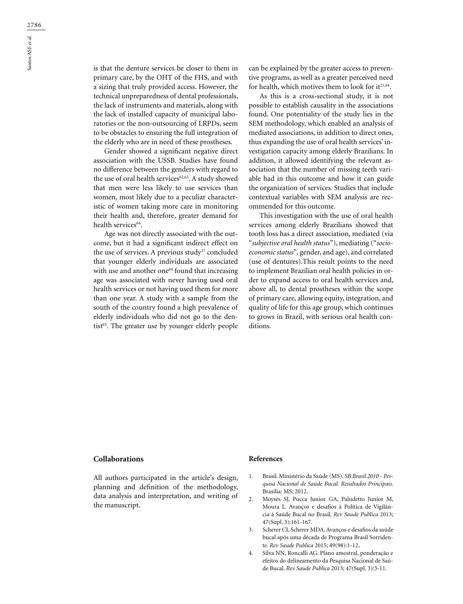is that the denture services be closer to them in primary care, by the OHT of the FHS, and with a sizing that truly provided access. However, the technical unpreparedness of dental professionals, the lack of instruments and materials, along with the lack of installed capacity of municipal laboratories or the non-outsourcing of LRPDs, seem to be obstacles to ensuring the full integration of the elderly who are in need of these prostheses.

Gender showed a significant negative direct association with the USSB. Studies have found no difference between the genders with regard to the use of oral health services<sup>62,63</sup>. A study showed that men were less likely to use services than women, most likely due to a peculiar characteristic of women taking more care in monitoring their health and, therefore, greater demand for health services<sup>64</sup>.

Age was not directly associated with the outcome, but it had a significant indirect effect on the use of services. A previous study<sup>37</sup> concluded that younger elderly individuals are associated with use and another one<sup>64</sup> found that increasing age was associated with never having used oral health services or not having used them for more than one year. A study with a sample from the south of the country found a high prevalence of elderly individuals who did not go to the dentist<sup>65</sup>. The greater use by younger elderly people

can be explained by the greater access to preventive programs, as well as a greater perceived need for health, which motives them to look for it $21,64$ .

As this is a cross-sectional study, it is not possible to establish causality in the associations found. One potentiality of the study lies in the SEM methodology, which enabled an analysis of mediated associations, in addition to direct ones, thus expanding the use of oral health services' investigation capacity among elderly Brazilians. In addition, it allowed identifying the relevant association that the number of missing teeth variable had in this outcome and how it can guide the organization of services. Studies that include contextual variables with SEM analysis are recommended for this outcome.

This investigation with the use of oral health services among elderly Brazilians showed that tooth loss has a direct association, mediated (via "*subjective oral health status*"), mediating ("*socioeconomic status*"*,* gender, and age), and correlated (use of dentures).This result points to the need to implement Brazilian oral health policies in order to expand access to oral health services and, above all, to dental prostheses within the scope of primary care, allowing equity, integration, and quality of life for this age group, which continues to grows in Brazil, with serious oral health conditions.

### **Collaborations**

All authors participated in the article's design, planning and definition of the methodology, data analysis and interpretation, and writing of the manuscript.

#### **References**

- 1. Brasil. Ministério da Saúde (MS). *SB Brasil 2010 Pesquisa Nacional de Saúde Bucal. Resultados Principais*. Brasília: MS; 2012.
- 2. Moysés SJ, Pucca Junior GA, Paludetto Junior M, Moura L. Avanços e desafios à Política de Vigilância à Saúde Bucal no Brasil. *Rev Saude Publica* 2013; 47(Supl. 3):161-167.
- 3. Scherer CI, Scherer MDA. Avanços e desafios da saúde bucal após uma década de Programa Brasil Sorridente. *Rev Saude Publica* 2015; 49(98):1-12.
- 4. Silva NN, Roncalli AG. Plano amostral, ponderação e efeitos do delineamento da Pesquisa Nacional de Saúde Bucal. *Rev Saude Publica* 2013; 47(Supl. 3):3-11.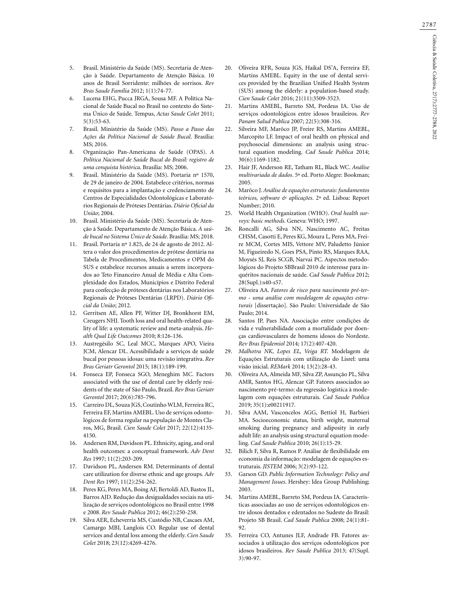- 5. Brasil. Ministério da Saúde (MS). Secretaria de Atenção à Saúde. Departamento de Atenção Básica. 10 anos de Brasil Sorridente: milhões de sorrisos. *Rev Bras Saude Família* 2012; 1(1):74-77.
- 6. Lucena EHG, Pucca JRGA, Sousa MF. A Política Nacional de Saúde Bucal no Brasil no contexto do Sistema Único de Saúde. Tempus, *Actas Saude Colet* 2011; 5(3):53-63.
- 7. Brasil. Ministério da Saúde (MS). *Passo a Passo das Ações da Política Nacional de Saúde Bucal*. Brasília: MS; 2016.
- 8. Organização Pan-Americana de Saúde (OPAS). *A Política Nacional de Saúde Bucal do Brasil: registro de uma conquista histórica*. Brasília: MS; 2006.
- 9. Brasil. Ministério da Saúde (MS). Portaria nº 1570, de 29 de janeiro de 2004. Estabelece critérios, normas e requisitos para a implantação e credenciamento de Centros de Especialidades Odontológicas e Laboratórios Regionais de Próteses Dentárias. *Diário Oficial da União*; 2004.
- 10. Brasil. Ministério da Saúde (MS). Secretaria de Atenção à Saúde. Departamento de Atenção Básica. *A saúde bucal no Sistema Único de Saúde*. Brasília: MS; 2018.
- 11. Brasil. Portaria nº 1.825, de 24 de agosto de 2012. Altera o valor dos procedimentos de prótese dentária na Tabela de Procedimentos, Medicamentos e OPM do SUS e estabelece recursos anuais a serem incorporados ao Teto Financeiro Anual de Média e Alta Complexidade dos Estados, Municípios e Distrito Federal para confecção de próteses dentárias nos Laboratórios Regionais de Próteses Dentárias (LRPD). *Diário Oficial da União*; 2012.
- 12. Gerritsen AE, Allen PF, Witter DJ, Bronkhorst EM, Creugers NHJ. Tooth loss and oral health-related quality of life: a systematic review and meta-analysis. *Health Qual Life Outcomes* 2010; 8:126-136.
- 13. Austregésilo SC, Leal MCC, Marques APO, Vieira JCM, Alencar DL. Acessibilidade a serviços de saúde bucal por pessoas idosas: uma revisão integrativa. *Rev Bras Geriatr Gerontol* 2015; 18(1):189-199.
- 14. Fonseca EP, Fonseca SGO, Meneghim MC. Factors associated with the use of dental care by elderly residents of the state of São Paulo, Brazil. *Rev Bras Geriatr Gerontol* 2017; 20(6):785-796.
- 15. Carreiro DL, Souza JGS, Coutinho WLM, Ferreira RC, Ferreira EF, Martins AMEBL. Uso de serviços odontológicos de forma regular na população de Montes Claros, MG, Brasil. *Cien Saude Colet* 2017; 22(12):4135- 4150.
- 16. Andersen RM, Davidson PL. Ethnicity, aging, and oral health outcomes: a conceptual framework. *Adv Dent Res* 1997; 11(2):203-209.
- 17. Davidson PL, Andersen RM. Determinants of dental care utilization for diverse ethnic and age groups. *Adv Dent Res* 1997; 11(2):254-262.
- 18. Peres KG, Peres MA, Boing AF, Bertoldi AD, Bastos JL, Barros AJD. Redução das desigualdades sociais na utilização de serviços odontológicos no Brasil entre 1998 e 2008. *Rev Saude Publica* 2012; 46(2):250-258.
- 19. Silva AER, Echeverria MS, Custódio NB, Cascaes AM, Camargo MBJ, Langlois CO. Regular use of dental services and dental loss among the elderly. *Cien Saude Colet* 2018; 23(12):4269-4276.
- 20. Oliveira RFR, Souza JGS, Haikal DS'A, Ferreira EF, Martins AMEBL. Equity in the use of dental services provided by the Brazilian Unified Health System (SUS) among the elderly: a population-based study. *Cien Saude Colet* 2016; 21(11):3509-3523.
- 21. Martins AMEBL, Barreto SM, Pordeus IA. Uso de serviços odontológicos entre idosos brasileiros. *Rev Panam Salud Publica* 2007; 22(5):308-316.
- 22. Silveira MF, Marôco JP, Freire RS, Martins AMEBL, Marcopito LF. Impact of oral health on physical and psychosocial dimensions: an analysis using structural equation modeling. *Cad Saude Publica* 2014; 30(6):1169-1182.
- 23. Hair JF, Anderson RE, Tatham RL, Black WC. *Análise multivariada de dados*. 5ª ed. Porto Alegre: Bookman; 2005.
- 24. Marôco J. *Análise de equações estruturais: fundamentos teóricos, software & aplicações*. 2ª ed. Lisboa: Report Number; 2010.
- 25. World Health Organization (WHO). *Oral health surveys: basic methods*. Geneva: WHO; 1997.
- 26. Roncalli AG, Silva NN, Nascimento AC, Freitas CHSM, Casotti E, Peres KG, Moura L, Peres MA, Freire MCM, Cortes MIS, Vettore MV, Paludetto Júnior M, Figueiredo N, Goes PSA, Pinto RS, Marques RAA, Moysés SJ, Reis SCGB, Narvai PC. Aspectos metodológicos do Projeto SBBrasil 2010 de interesse para inquéritos nacionais de saúde. *Cad Saude Publica* 2012; 28(Supl.):s40-s57.
- 27. Oliveira AA. *Fatores de risco para nascimento pré-termo - uma análise com modelagem de equações estruturais* [dissertação]. São Paulo: Universidade de São Paulo; 2014.
- 28. Santos JP, Paes NA. Associação entre condições de vida e vulnerabilidade com a mortalidade por doenças cardiovasculares de homens idosos do Nordeste. *Rev Bras Epidemiol* 2014; 17(2):407-420.
- 29. *Malhotra NK, Lopes EL, Veiga RT.* Modelagem de Equações Estruturais com utilização do Lisrel: uma visão inicial. *REMark* 2014; 13(2):28-43.
- 30. Oliveira AA, Almeida MF, Silva ZP, Assunção PL, Silva AMR, Santos HG, Alencar GP. Fatores associados ao nascimento pré-termo: da regressão logística à modelagem com equações estruturais. *Cad Saude Publica* 2019; 35(1):e00211917.
- 31. Silva AAM, Vasconcelos AGG, Bettiol H, Barbieri MA. Socioeconomic status, birth weight, maternal smoking during pregnancy and adiposity in early adult life: an analysis using structural equation modeling. *Cad Saude Publica* 2010; 26(1):15-29.
- 32. Bilich F, Silva R, Ramos P. Análise de flexibilidade em economia da informação: modelagem de equações estruturais. *JISTEM* 2006; 3(2):93-122.
- 33. Garson GD. *Public Information Technology: Policy and Management Issues*. Hershey: Idea Group Publishing; 2003.
- 34. Martins AMEBL, Barreto SM, Pordeus IA. Características associadas ao uso de serviços odontológicos entre idosos dentados e edentados no Sudeste do Brasil: Projeto SB Brasil. *Cad Saude Publica* 2008; 24(1):81- 92.
- 35. Ferreira CO, Antunes JLF, Andrade FB. Fatores associados à utilização dos serviços odontológicos por idosos brasileiros. *Rev Saude Publica* 2013; 47(Supl. 3):90-97.